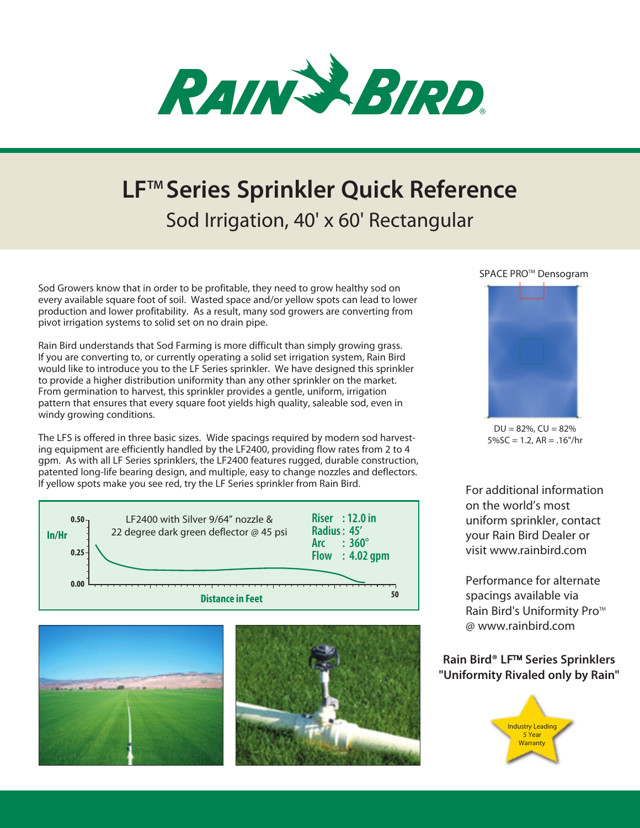

# **LFTM Series Sprinkler Quick Reference** Sod Irrigation, 40' x 60' Rectangular

Sod Growers know that in order to be profitable, they need to grow healthy sod on every available square foot of soil. Wasted space and/or yellow spots can lead to lower production and lower profitability. As a result, many sod growers are converting from pivot irrigation systems to solid set on no drain pipe.

Rain Bird understands that Sod Farming is more difficult than simply growing grass. If you are converting to, or currently operating a solid set irrigation system, Rain Bird would like to introduce you to the LF Series sprinkler. We have designed this sprinkler to provide a higher distribution uniformity than any other sprinkler on the market. From germination to harvest, this sprinkler provides a gentle, uniform, irrigation pattern that ensures that every square foot yields high quality, saleable sod, even in windy growing conditions.

The LFS is offered in three basic sizes. Wide spacings required by modern sod harvesting equipment are efficiently handled by the LF2400, providing flow rates from 2 to 4 gpm. As with all LF Series sprinklers, the LF2400 features rugged, durable construction, patented long-life bearing design, and multiple, easy to change nozzles and deflectors. If yellow spots make you see red, try the LF Series sprinkler from Rain Bird.







### SPACE PRO<sup>™</sup> Densogram



 $DU = 82\%$ ,  $CU = 82\%$  $5\%$ SC = 1.2, AR = .16"/hr

For additional information on the world's most uniform sprinkler, contact your Rain Bird Dealer or visit www.rainbird.com

Performance for alternate spacings available via Rain Bird's Uniformity Pro™ @ www.rainbird.com

## **Rain Bird<sup>®</sup> LF<sup>™</sup> Series Sprinklers "Uniformity Rivaled only by Rain"**